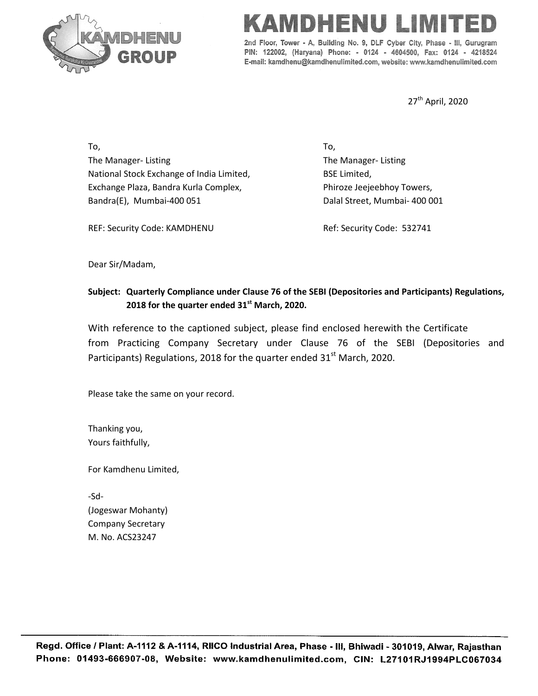

## MEISI

2nd Floor, Tower - A, Building No. 9, DLF Cyber City, Phase - III, Gurugram PIN: 122002, (Haryana) Phone: - 0124 - 4604500, Fax: 0124 - 4218524 E-mail: kamdhenu@kamdhenulimited.com, website: www.kamdhenulimited.com

27<sup>th</sup> April, 2020

To, The Manager- Listing National Stock Exchange of India Limited, Exchange Plaza, Bandra Kurla Complex, Bandra(E), Mumbai-400 051

To, The Manager- Listing BSE Limited, Phiroze Jeejeebhoy Towers, Dalal Street, Mumbai- 400 001

REF: Security Code: KAMDHENU

Ref: Security Code: 532741

Dear Sir/Madam,

## **Subject: Quarterly Compliance under Clause 76 of the SEBI (Depositories and Participants) Regulations, 2018 for the quarter ended 31 st March, 2020.**

With reference to the captioned subject, please find enclosed herewith the Certificate from Practicing Company Secretary under Clause 76 of the SEBI (Depositories and Participants) Regulations, 2018 for the quarter ended  $31<sup>st</sup>$  March, 2020.

Please take the same on your record.

Thanking you, Yours faithfully,

For Kamdhenu Limited,

-Sd- (Jogeswar Mohanty) Company Secretary M. No. ACS23247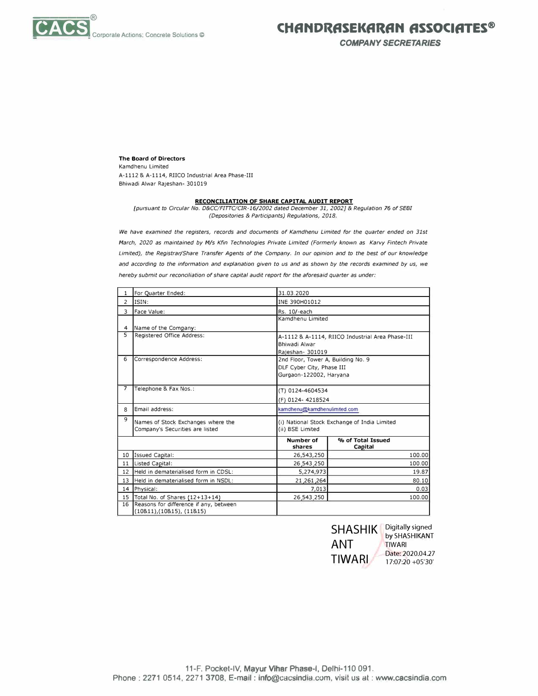

*COMPANY SECRETARIES* 

**The Board of Directors**  Kamdhenu Limited A-1112 & A-1114, RIICO Industrial Area Phase-III Bhiwadi Alwar Rajeshan- 301019

## **RECONCILIATION OF SHARE CAPITAL AUDIT REPORT**

*[pursuant to Circular No. D&CC/FITTC/CIR-16/2002 dated December 31, 2002]* & *Regulation* **76** *of SEBI (Depositories* & *Participants) Regulations, 2018.* 

We have examined the registers, records and documents of Kamdhenu Limited for the quarter ended on 31st *March, 2020 as maintained by M/s Kfin Technologies Private Limited (Formerly known as Karvy Fintech Private Limited), the Registrar/Share Transfer Agents of the Company. In our opinion and to the best of our knowledge and according to the information and explanation given to us and as shown by the records examined by us, we hereby submit our reconciliation of share capital audit report for the aforesaid quarter as under:* 

| $\mathbf{1}$            | For Quarter Ended:                                                | 31.03.2020       |                                                  |  |  |  |  |
|-------------------------|-------------------------------------------------------------------|------------------|--------------------------------------------------|--|--|--|--|
| $\overline{2}$          | ISIN:                                                             | INE 390H01012    |                                                  |  |  |  |  |
| $\overline{\mathbf{3}}$ | Face Value:                                                       | Rs. 10/-each     |                                                  |  |  |  |  |
|                         |                                                                   |                  | Kamdhenu Limited                                 |  |  |  |  |
| 4                       | Name of the Company:                                              |                  |                                                  |  |  |  |  |
| 5                       | Registered Office Address:                                        |                  | A-1112 & A-1114, RIICO Industrial Area Phase-III |  |  |  |  |
|                         |                                                                   | Bhiwadi Alwar    |                                                  |  |  |  |  |
|                         |                                                                   | Rajeshan- 301019 |                                                  |  |  |  |  |
| 6                       | Correspondence Address:                                           |                  | 2nd Floor, Tower A, Building No. 9               |  |  |  |  |
|                         |                                                                   |                  | DLF Cyber City, Phase III                        |  |  |  |  |
|                         |                                                                   |                  | Gurgaon-122002, Haryana                          |  |  |  |  |
| 7                       | Telephone & Fax Nos.:                                             |                  |                                                  |  |  |  |  |
|                         |                                                                   |                  | (T) 0124-4604534                                 |  |  |  |  |
|                         |                                                                   | (F) 0124-4218524 |                                                  |  |  |  |  |
| 8                       | Email address:                                                    |                  | kamdhenu@kamdhenulimited.com                     |  |  |  |  |
| 9                       | Names of Stock Exchanges where the                                |                  | (i) National Stock Exchange of India Limited     |  |  |  |  |
|                         | Company's Securities are listed                                   | (ii) BSE Limited |                                                  |  |  |  |  |
|                         |                                                                   | Number of        | % of Total Issued                                |  |  |  |  |
|                         |                                                                   | shares           | Capital                                          |  |  |  |  |
| 10                      | Issued Capital:                                                   | 26,543,250       | 100.00                                           |  |  |  |  |
| 11                      | Listed Capital:                                                   | 26,543,250       | 100.00                                           |  |  |  |  |
| 12                      | Held in dematerialised form in CDSL:                              | 5,274,973        | 19.87                                            |  |  |  |  |
| 13                      | Held in dematerialised form in NSDL:                              | 21,261,264       | 80.10                                            |  |  |  |  |
| 14                      | Physical:                                                         | 7,013            | 0.03                                             |  |  |  |  |
| 15                      | Total No. of Shares (12+13+14)                                    | 26,543,250       | 100.00                                           |  |  |  |  |
| 16                      | Reasons for difference if any, between<br>(10811),(10815),(11815) |                  |                                                  |  |  |  |  |